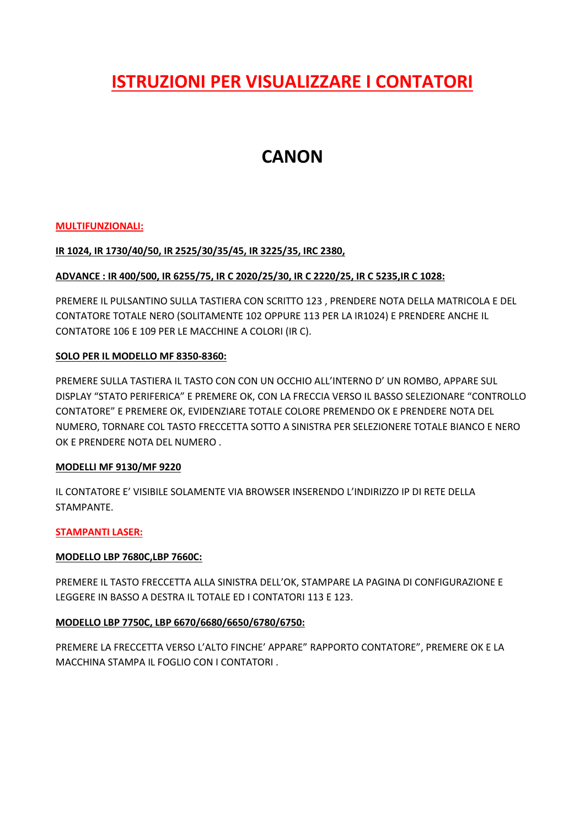# **ISTRUZIONI PER VISUALIZZARE I CONTATORI**

# **CANON**

### **MULTIFUNZIONALI:**

### **IR 1024, IR 1730/40/50, IR 2525/30/35/45, IR 3225/35, IRC 2380,**

## **ADVANCE : IR 400/500, IR 6255/75, IR C 2020/25/30, IR C 2220/25, IR C 5235,IR C 1028:**

PREMERE IL PULSANTINO SULLA TASTIERA CON SCRITTO 123 , PRENDERE NOTA DELLA MATRICOLA E DEL CONTATORE TOTALE NERO (SOLITAMENTE 102 OPPURE 113 PER LA IR1024) E PRENDERE ANCHE IL CONTATORE 106 E 109 PER LE MACCHINE A COLORI (IR C).

### **SOLO PER IL MODELLO MF 8350-8360:**

PREMERE SULLA TASTIERA IL TASTO CON CON UN OCCHIO ALL'INTERNO D' UN ROMBO, APPARE SUL DISPLAY "STATO PERIFERICA" E PREMERE OK, CON LA FRECCIA VERSO IL BASSO SELEZIONARE "CONTROLLO CONTATORE" E PREMERE OK, EVIDENZIARE TOTALE COLORE PREMENDO OK E PRENDERE NOTA DEL NUMERO, TORNARE COL TASTO FRECCETTA SOTTO A SINISTRA PER SELEZIONERE TOTALE BIANCO E NERO OK E PRENDERE NOTA DEL NUMERO .

### **MODELLI MF 9130/MF 9220**

IL CONTATORE E' VISIBILE SOLAMENTE VIA BROWSER INSERENDO L'INDIRIZZO IP DI RETE DELLA STAMPANTE.

### **STAMPANTI LASER:**

### **MODELLO LBP 7680C,LBP 7660C:**

PREMERE IL TASTO FRECCETTA ALLA SINISTRA DELL'OK, STAMPARE LA PAGINA DI CONFIGURAZIONE E LEGGERE IN BASSO A DESTRA IL TOTALE ED I CONTATORI 113 E 123.

### **MODELLO LBP 7750C, LBP 6670/6680/6650/6780/6750:**

PREMERE LA FRECCETTA VERSO L'ALTO FINCHE' APPARE" RAPPORTO CONTATORE", PREMERE OK E LA MACCHINA STAMPA IL FOGLIO CON I CONTATORI .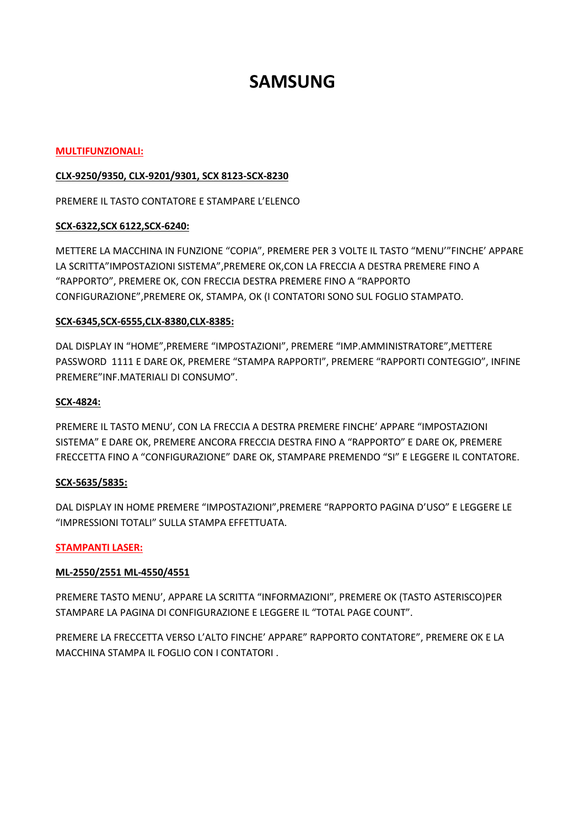# **SAMSUNG**

#### **MULTIFUNZIONALI:**

### **CLX-9250/9350, CLX-9201/9301, SCX 8123-SCX-8230**

PREMERE IL TASTO CONTATORE E STAMPARE L'ELENCO

### **SCX-6322,SCX 6122,SCX-6240:**

METTERE LA MACCHINA IN FUNZIONE "COPIA", PREMERE PER 3 VOLTE IL TASTO "MENU'"FINCHE' APPARE LA SCRITTA"IMPOSTAZIONI SISTEMA",PREMERE OK,CON LA FRECCIA A DESTRA PREMERE FINO A "RAPPORTO", PREMERE OK, CON FRECCIA DESTRA PREMERE FINO A "RAPPORTO CONFIGURAZIONE",PREMERE OK, STAMPA, OK (I CONTATORI SONO SUL FOGLIO STAMPATO.

### **SCX-6345,SCX-6555,CLX-8380,CLX-8385:**

DAL DISPLAY IN "HOME",PREMERE "IMPOSTAZIONI", PREMERE "IMP.AMMINISTRATORE",METTERE PASSWORD 1111 E DARE OK, PREMERE "STAMPA RAPPORTI", PREMERE "RAPPORTI CONTEGGIO", INFINE PREMERE"INF.MATERIALI DI CONSUMO".

### **SCX-4824:**

PREMERE IL TASTO MENU', CON LA FRECCIA A DESTRA PREMERE FINCHE' APPARE "IMPOSTAZIONI SISTEMA" E DARE OK, PREMERE ANCORA FRECCIA DESTRA FINO A "RAPPORTO" E DARE OK, PREMERE FRECCETTA FINO A "CONFIGURAZIONE" DARE OK, STAMPARE PREMENDO "SI" E LEGGERE IL CONTATORE.

### **SCX-5635/5835:**

DAL DISPLAY IN HOME PREMERE "IMPOSTAZIONI",PREMERE "RAPPORTO PAGINA D'USO" E LEGGERE LE "IMPRESSIONI TOTALI" SULLA STAMPA EFFETTUATA.

## **STAMPANTI LASER:**

## **ML-2550/2551 ML-4550/4551**

PREMERE TASTO MENU', APPARE LA SCRITTA "INFORMAZIONI", PREMERE OK (TASTO ASTERISCO)PER STAMPARE LA PAGINA DI CONFIGURAZIONE E LEGGERE IL "TOTAL PAGE COUNT".

PREMERE LA FRECCETTA VERSO L'ALTO FINCHE' APPARE" RAPPORTO CONTATORE", PREMERE OK E LA MACCHINA STAMPA IL FOGLIO CON I CONTATORI .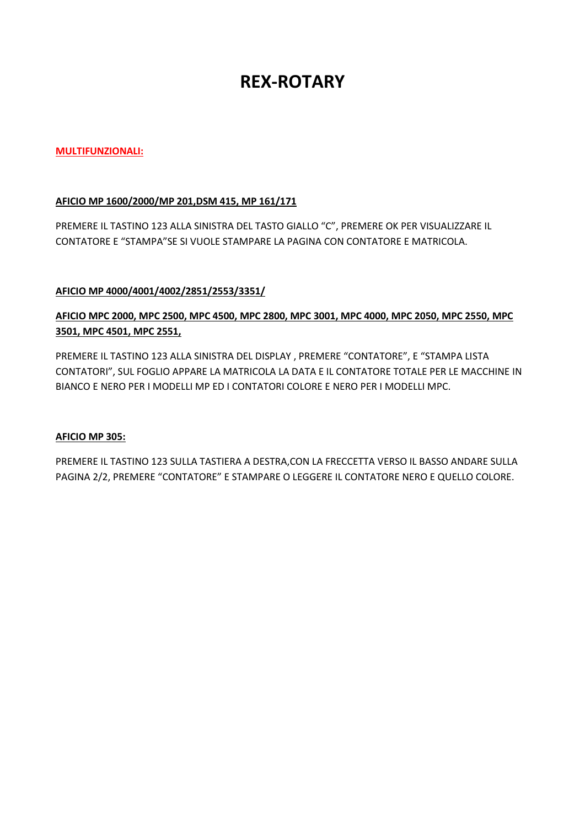# **REX-ROTARY**

### **MULTIFUNZIONALI:**

### **AFICIO MP 1600/2000/MP 201,DSM 415, MP 161/171**

PREMERE IL TASTINO 123 ALLA SINISTRA DEL TASTO GIALLO "C", PREMERE OK PER VISUALIZZARE IL CONTATORE E "STAMPA"SE SI VUOLE STAMPARE LA PAGINA CON CONTATORE E MATRICOLA.

## **AFICIO MP 4000/4001/4002/2851/2553/3351/**

## **AFICIO MPC 2000, MPC 2500, MPC 4500, MPC 2800, MPC 3001, MPC 4000, MPC 2050, MPC 2550, MPC 3501, MPC 4501, MPC 2551,**

PREMERE IL TASTINO 123 ALLA SINISTRA DEL DISPLAY , PREMERE "CONTATORE", E "STAMPA LISTA CONTATORI", SUL FOGLIO APPARE LA MATRICOLA LA DATA E IL CONTATORE TOTALE PER LE MACCHINE IN BIANCO E NERO PER I MODELLI MP ED I CONTATORI COLORE E NERO PER I MODELLI MPC.

### **AFICIO MP 305:**

PREMERE IL TASTINO 123 SULLA TASTIERA A DESTRA,CON LA FRECCETTA VERSO IL BASSO ANDARE SULLA PAGINA 2/2, PREMERE "CONTATORE" E STAMPARE O LEGGERE IL CONTATORE NERO E QUELLO COLORE.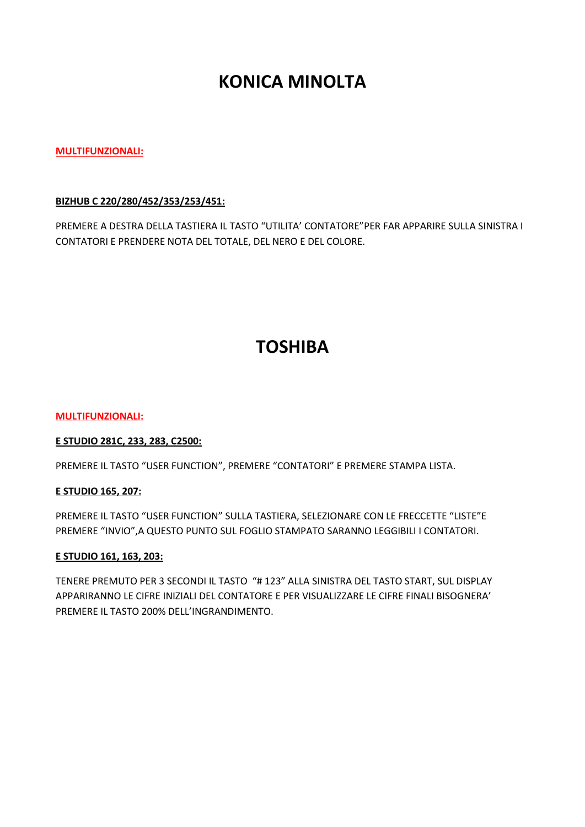# **KONICA MINOLTA**

### **MULTIFUNZIONALI:**

### **BIZHUB C 220/280/452/353/253/451:**

PREMERE A DESTRA DELLA TASTIERA IL TASTO "UTILITA' CONTATORE"PER FAR APPARIRE SULLA SINISTRA I CONTATORI E PRENDERE NOTA DEL TOTALE, DEL NERO E DEL COLORE.

# **TOSHIBA**

#### **MULTIFUNZIONALI:**

### **E STUDIO 281C, 233, 283, C2500:**

PREMERE IL TASTO "USER FUNCTION", PREMERE "CONTATORI" E PREMERE STAMPA LISTA.

### **E STUDIO 165, 207:**

PREMERE IL TASTO "USER FUNCTION" SULLA TASTIERA, SELEZIONARE CON LE FRECCETTE "LISTE"E PREMERE "INVIO",A QUESTO PUNTO SUL FOGLIO STAMPATO SARANNO LEGGIBILI I CONTATORI.

### **E STUDIO 161, 163, 203:**

TENERE PREMUTO PER 3 SECONDI IL TASTO "# 123" ALLA SINISTRA DEL TASTO START, SUL DISPLAY APPARIRANNO LE CIFRE INIZIALI DEL CONTATORE E PER VISUALIZZARE LE CIFRE FINALI BISOGNERA' PREMERE IL TASTO 200% DELL'INGRANDIMENTO.